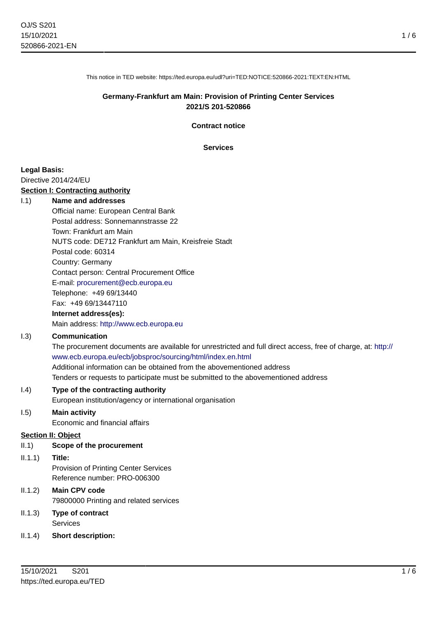1 / 6

This notice in TED website: https://ted.europa.eu/udl?uri=TED:NOTICE:520866-2021:TEXT:EN:HTML

### **Germany-Frankfurt am Main: Provision of Printing Center Services 2021/S 201-520866**

**Contract notice**

**Services**

#### **Legal Basis:**

Directive 2014/24/EU

#### **Section I: Contracting authority**

#### I.1) **Name and addresses**

Official name: European Central Bank Postal address: Sonnemannstrasse 22 Town: Frankfurt am Main NUTS code: DE712 Frankfurt am Main, Kreisfreie Stadt Postal code: 60314 Country: Germany Contact person: Central Procurement Office E-mail: [procurement@ecb.europa.eu](mailto:procurement@ecb.europa.eu) Telephone: +49 69/13440 Fax: +49 69/13447110

### **Internet address(es):**

Main address:<http://www.ecb.europa.eu>

### I.3) **Communication**

The procurement documents are available for unrestricted and full direct access, free of charge, at: [http://](http://www.ecb.europa.eu/ecb/jobsproc/sourcing/html/index.en.html) [www.ecb.europa.eu/ecb/jobsproc/sourcing/html/index.en.html](http://www.ecb.europa.eu/ecb/jobsproc/sourcing/html/index.en.html) Additional information can be obtained from the abovementioned address Tenders or requests to participate must be submitted to the abovementioned address

#### I.4) **Type of the contracting authority**

European institution/agency or international organisation

#### I.5) **Main activity**

Economic and financial affairs

#### **Section II: Object**

- II.1) **Scope of the procurement**
- II.1.1) **Title:**

Provision of Printing Center Services Reference number: PRO-006300

### II.1.2) **Main CPV code** 79800000 Printing and related services

# II.1.3) **Type of contract** Services

II.1.4) **Short description:**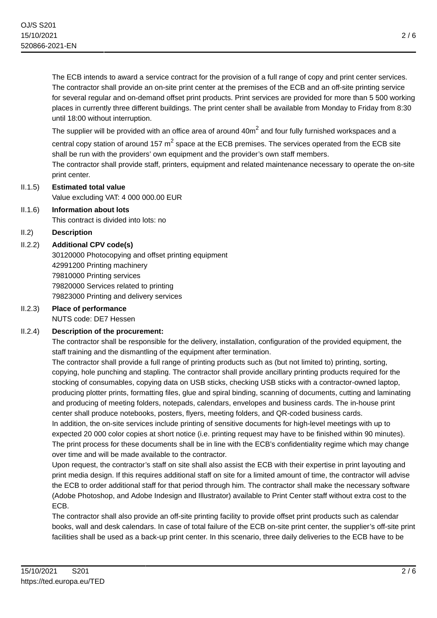The ECB intends to award a service contract for the provision of a full range of copy and print center services. The contractor shall provide an on-site print center at the premises of the ECB and an off-site printing service for several regular and on-demand offset print products. Print services are provided for more than 5 500 working places in currently three different buildings. The print center shall be available from Monday to Friday from 8:30 until 18:00 without interruption.

The supplier will be provided with an office area of around 40 $\sf m^2$  and four fully furnished workspaces and a central copy station of around 157  $m^2$  space at the ECB premises. The services operated from the ECB site shall be run with the providers' own equipment and the provider's own staff members. The contractor shall provide staff, printers, equipment and related maintenance necessary to operate the on-site print center.

II.1.5) **Estimated total value**

Value excluding VAT: 4 000 000.00 EUR

- II.1.6) **Information about lots** This contract is divided into lots: no
- II.2) **Description**
- II.2.2) **Additional CPV code(s)**

30120000 Photocopying and offset printing equipment 42991200 Printing machinery 79810000 Printing services 79820000 Services related to printing 79823000 Printing and delivery services

#### II.2.3) **Place of performance** NUTS code: DE7 Hessen

# II.2.4) **Description of the procurement:**

The contractor shall be responsible for the delivery, installation, configuration of the provided equipment, the staff training and the dismantling of the equipment after termination.

The contractor shall provide a full range of printing products such as (but not limited to) printing, sorting, copying, hole punching and stapling. The contractor shall provide ancillary printing products required for the stocking of consumables, copying data on USB sticks, checking USB sticks with a contractor-owned laptop, producing plotter prints, formatting files, glue and spiral binding, scanning of documents, cutting and laminating and producing of meeting folders, notepads, calendars, envelopes and business cards. The in-house print center shall produce notebooks, posters, flyers, meeting folders, and QR-coded business cards.

In addition, the on-site services include printing of sensitive documents for high-level meetings with up to expected 20 000 color copies at short notice (i.e. printing request may have to be finished within 90 minutes). The print process for these documents shall be in line with the ECB's confidentiality regime which may change over time and will be made available to the contractor.

Upon request, the contractor's staff on site shall also assist the ECB with their expertise in print layouting and print media design. If this requires additional staff on site for a limited amount of time, the contractor will advise the ECB to order additional staff for that period through him. The contractor shall make the necessary software (Adobe Photoshop, and Adobe Indesign and Illustrator) available to Print Center staff without extra cost to the ECB.

The contractor shall also provide an off-site printing facility to provide offset print products such as calendar books, wall and desk calendars. In case of total failure of the ECB on-site print center, the supplier's off-site print facilities shall be used as a back-up print center. In this scenario, three daily deliveries to the ECB have to be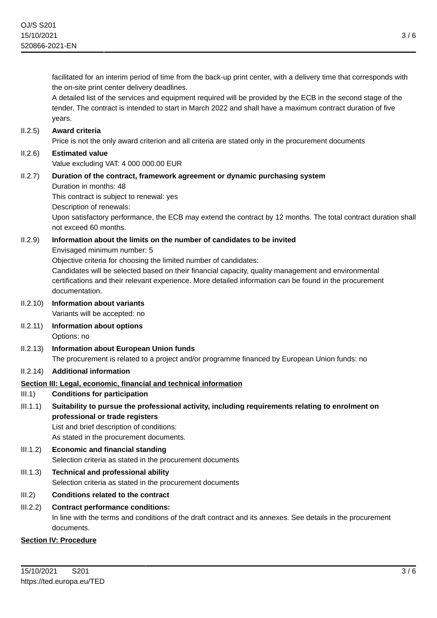facilitated for an interim period of time from the back-up print center, with a delivery time that corresponds with the on-site print center delivery deadlines.

A detailed list of the services and equipment required will be provided by the ECB in the second stage of the tender. The contract is intended to start in March 2022 and shall have a maximum contract duration of five years.

### II.2.5) **Award criteria**

Price is not the only award criterion and all criteria are stated only in the procurement documents

# II.2.6) **Estimated value** Value excluding VAT: 4 000 000.00 EUR

#### II.2.7) **Duration of the contract, framework agreement or dynamic purchasing system** Duration in months: 48

This contract is subject to renewal: yes

Description of renewals:

Upon satisfactory performance, the ECB may extend the contract by 12 months. The total contract duration shall not exceed 60 months.

# II.2.9) **Information about the limits on the number of candidates to be invited**

Envisaged minimum number: 5

Objective criteria for choosing the limited number of candidates:

Candidates will be selected based on their financial capacity, quality management and environmental certifications and their relevant experience. More detailed information can be found in the procurement documentation.

II.2.10) **Information about variants**

Variants will be accepted: no

- II.2.11) **Information about options** Options: no
- II.2.13) **Information about European Union funds** The procurement is related to a project and/or programme financed by European Union funds: no

# II.2.14) **Additional information**

# **Section III: Legal, economic, financial and technical information**

# III.1) **Conditions for participation**

III.1.1) **Suitability to pursue the professional activity, including requirements relating to enrolment on professional or trade registers**

List and brief description of conditions: As stated in the procurement documents.

- III.1.2) **Economic and financial standing** Selection criteria as stated in the procurement documents
- III.1.3) **Technical and professional ability** Selection criteria as stated in the procurement documents
- III.2) **Conditions related to the contract**

# III.2.2) **Contract performance conditions:**

In line with the terms and conditions of the draft contract and its annexes. See details in the procurement documents.

# **Section IV: Procedure**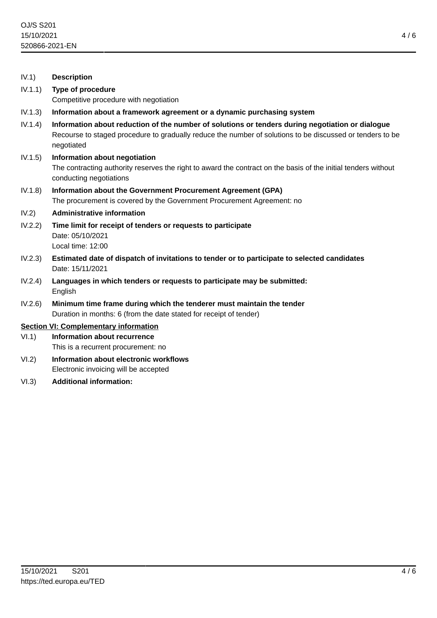#### IV.1) **Description**

- IV.1.1) **Type of procedure** Competitive procedure with negotiation
- IV.1.3) **Information about a framework agreement or a dynamic purchasing system**
- IV.1.4) **Information about reduction of the number of solutions or tenders during negotiation or dialogue** Recourse to staged procedure to gradually reduce the number of solutions to be discussed or tenders to be negotiated
- IV.1.5) **Information about negotiation**

The contracting authority reserves the right to award the contract on the basis of the initial tenders without conducting negotiations

IV.1.8) **Information about the Government Procurement Agreement (GPA)** The procurement is covered by the Government Procurement Agreement: no

#### IV.2) **Administrative information**

- IV.2.2) **Time limit for receipt of tenders or requests to participate** Date: 05/10/2021 Local time: 12:00
- IV.2.3) **Estimated date of dispatch of invitations to tender or to participate to selected candidates** Date: 15/11/2021
- IV.2.4) **Languages in which tenders or requests to participate may be submitted:** English
- IV.2.6) **Minimum time frame during which the tenderer must maintain the tender** Duration in months: 6 (from the date stated for receipt of tender)

#### **Section VI: Complementary information**

- VI.1) **Information about recurrence** This is a recurrent procurement: no
- VI.2) **Information about electronic workflows** Electronic invoicing will be accepted
- VI.3) **Additional information:**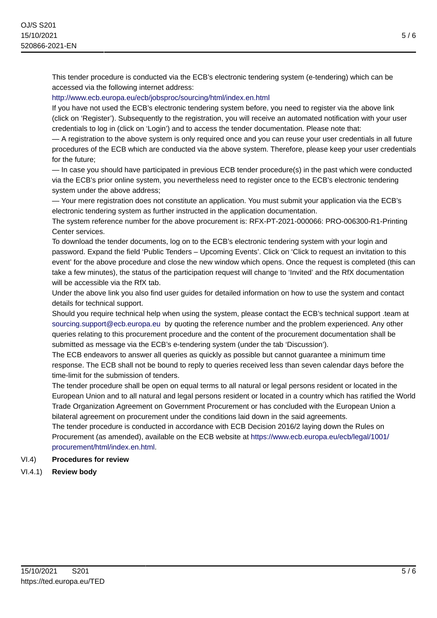This tender procedure is conducted via the ECB's electronic tendering system (e-tendering) which can be accessed via the following internet address:

# <http://www.ecb.europa.eu/ecb/jobsproc/sourcing/html/index.en.html>

If you have not used the ECB's electronic tendering system before, you need to register via the above link (click on 'Register'). Subsequently to the registration, you will receive an automated notification with your user credentials to log in (click on 'Login') and to access the tender documentation. Please note that:

— A registration to the above system is only required once and you can reuse your user credentials in all future procedures of the ECB which are conducted via the above system. Therefore, please keep your user credentials for the future;

— In case you should have participated in previous ECB tender procedure(s) in the past which were conducted via the ECB's prior online system, you nevertheless need to register once to the ECB's electronic tendering system under the above address;

— Your mere registration does not constitute an application. You must submit your application via the ECB's electronic tendering system as further instructed in the application documentation.

The system reference number for the above procurement is: RFX-PT-2021-000066: PRO-006300-R1-Printing Center services.

To download the tender documents, log on to the ECB's electronic tendering system with your login and password. Expand the field 'Public Tenders – Upcoming Events'. Click on 'Click to request an invitation to this event' for the above procedure and close the new window which opens. Once the request is completed (this can take a few minutes), the status of the participation request will change to 'Invited' and the RfX documentation will be accessible via the RfX tab.

Under the above link you also find user guides for detailed information on how to use the system and contact details for technical support.

Should you require technical help when using the system, please contact the ECB's technical support .team at [sourcing.support@ecb.europa.eu](mailto:sourcing.support@ecb.europa.eu) by quoting the reference number and the problem experienced. Any other queries relating to this procurement procedure and the content of the procurement documentation shall be submitted as message via the ECB's e-tendering system (under the tab 'Discussion').

The ECB endeavors to answer all queries as quickly as possible but cannot guarantee a minimum time response. The ECB shall not be bound to reply to queries received less than seven calendar days before the time-limit for the submission of tenders.

The tender procedure shall be open on equal terms to all natural or legal persons resident or located in the European Union and to all natural and legal persons resident or located in a country which has ratified the World Trade Organization Agreement on Government Procurement or has concluded with the European Union a bilateral agreement on procurement under the conditions laid down in the said agreements.

The tender procedure is conducted in accordance with ECB Decision 2016/2 laying down the Rules on Procurement (as amended), available on the ECB website at [https://www.ecb.europa.eu/ecb/legal/1001/](https://www.ecb.europa.eu/ecb/legal/1001/procurement/html/index.en.html) [procurement/html/index.en.html.](https://www.ecb.europa.eu/ecb/legal/1001/procurement/html/index.en.html)

# VI.4) **Procedures for review**

# VI.4.1) **Review body**